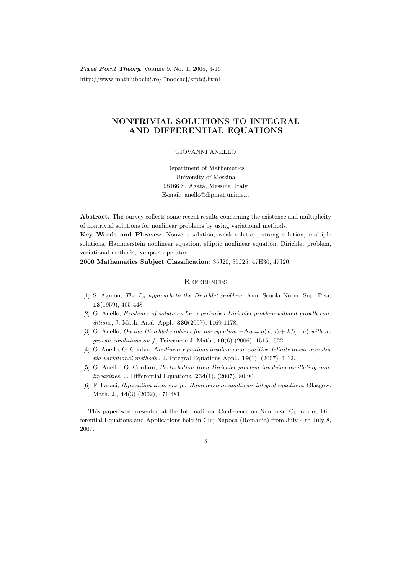Fixed Point Theory, Volume 9, No. 1, 2008, 3-16 http://www.math.ubbcluj.ro/<sup>∼</sup>nodeacj/sfptcj.html

## NONTRIVIAL SOLUTIONS TO INTEGRAL AND DIFFERENTIAL EQUATIONS

## GIOVANNI ANELLO

Department of Mathematics University of Messina 98166 S. Agata, Messina, Italy E-mail: anello@dipmat.unime.it

Abstract. This survey collects some recent results concerning the existence and multiplicity of nontrivial solutions for nonlinear problems by using variational methods.

Key Words and Phrases: Nonzero solution, weak solution, strong solution, multiple solutions, Hammerstein nonlinear equation, elliptic nonlinear equation, Dirichlet problem, variational methods, compact operator.

2000 Mathematics Subject Classification: 35J20, 35J25, 47H30, 47J20.

## **REFERENCES**

- [1] S. Agmon, The  $L_p$  approach to the Dirichlet problem, Ann. Scuola Norm. Sup. Pisa, 13(1959), 405-448.
- [2] G. Anello, Existence of solutions for a perturbed Dirichlet problem without growth conditions, J. Math. Anal. Appl., 330(2007), 1169-1178.
- [3] G. Anello, On the Dirichlet problem for the equation  $-\Delta u = g(x, u) + \lambda f(x, u)$  with no *growth conditions on f*, Taiwanese J. Math.,  $10(6)$  (2006), 1515-1522.
- [4] G. Anello, G. Cordaro Nonlinear equations involving non-positive definite linear operator via variational methods., J. Integral Equations Appl., 19(1), (2007), 1-12.
- [5] G. Anello, G. Cordaro, Perturbation from Dirichlet problem involving oscillating nonlinearities, J. Differential Equations,  $234(1)$ ,  $(2007)$ , 80-90.
- [6] F. Faraci, Bifurcation theorems for Hammerstein nonlinear integral equations, Glasgow. Math. J., 44(3) (2002), 471-481.

This paper was presented at the International Conference on Nonlinear Operators, Differential Equations and Applications held in Cluj-Napoca (Romania) from July 4 to July 8, 2007.

<sup>3</sup>